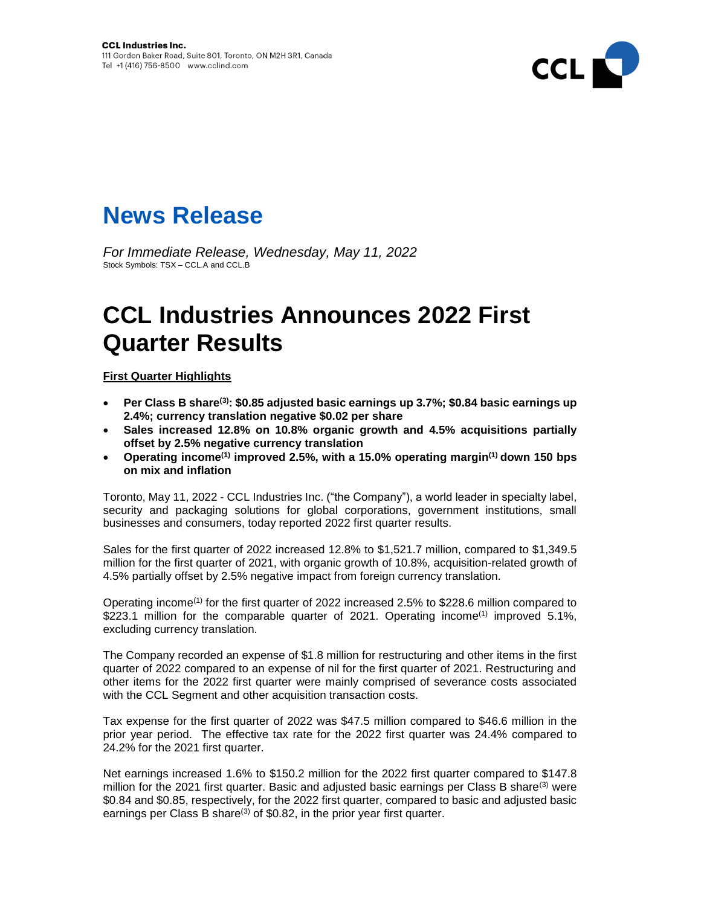

## **News Release**

*For Immediate Release, Wednesday, May 11, 2022* Stock Symbols: TSX – CCL.A and CCL.B

# **CCL Industries Announces 2022 First Quarter Results**

### **First Quarter Highlights**

- **Per Class B share(3): \$0.85 adjusted basic earnings up 3.7%; \$0.84 basic earnings up 2.4%; currency translation negative \$0.02 per share**
- **Sales increased 12.8% on 10.8% organic growth and 4.5% acquisitions partially offset by 2.5% negative currency translation**
- **Operating income(1) improved 2.5%, with a 15.0% operating margin(1) down 150 bps on mix and inflation**

Toronto, May 11, 2022 - CCL Industries Inc. ("the Company"), a world leader in specialty label, security and packaging solutions for global corporations, government institutions, small businesses and consumers, today reported 2022 first quarter results.

Sales for the first quarter of 2022 increased 12.8% to \$1,521.7 million, compared to \$1,349.5 million for the first quarter of 2021, with organic growth of 10.8%, acquisition-related growth of 4.5% partially offset by 2.5% negative impact from foreign currency translation.

Operating income(1) for the first quarter of 2022 increased 2.5% to \$228.6 million compared to \$223.1 million for the comparable quarter of 2021. Operating income<sup>(1)</sup> improved 5.1%, excluding currency translation.

The Company recorded an expense of \$1.8 million for restructuring and other items in the first quarter of 2022 compared to an expense of nil for the first quarter of 2021. Restructuring and other items for the 2022 first quarter were mainly comprised of severance costs associated with the CCL Segment and other acquisition transaction costs.

Tax expense for the first quarter of 2022 was \$47.5 million compared to \$46.6 million in the prior year period. The effective tax rate for the 2022 first quarter was 24.4% compared to 24.2% for the 2021 first quarter.

Net earnings increased 1.6% to \$150.2 million for the 2022 first quarter compared to \$147.8 million for the 2021 first quarter. Basic and adjusted basic earnings per Class B share<sup>(3)</sup> were \$0.84 and \$0.85, respectively, for the 2022 first quarter, compared to basic and adjusted basic earnings per Class B share<sup>(3)</sup> of \$0.82, in the prior year first quarter.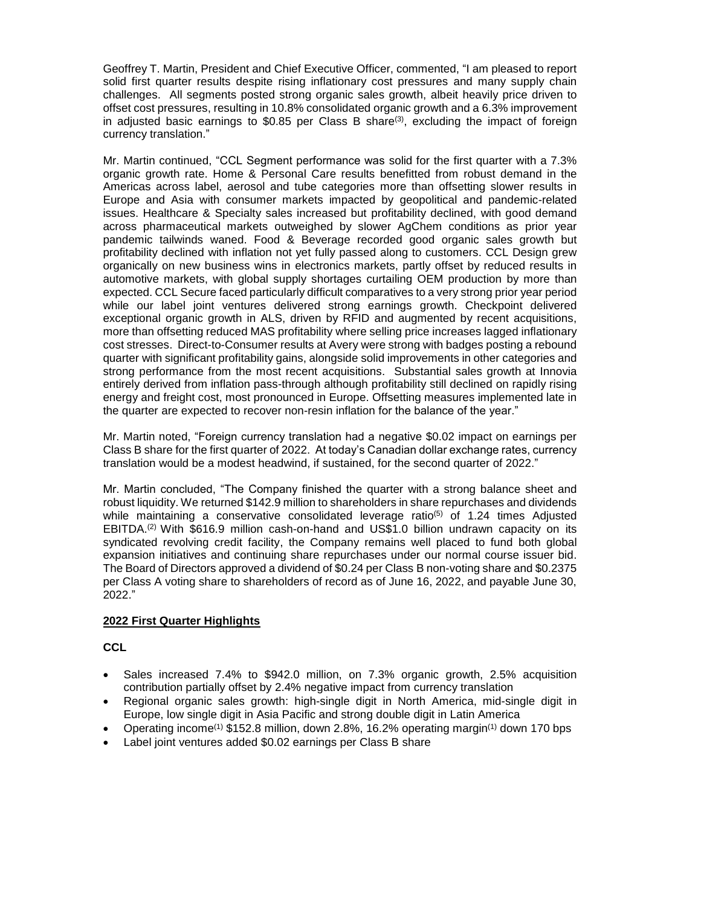Geoffrey T. Martin, President and Chief Executive Officer, commented, "I am pleased to report solid first quarter results despite rising inflationary cost pressures and many supply chain challenges. All segments posted strong organic sales growth, albeit heavily price driven to offset cost pressures, resulting in 10.8% consolidated organic growth and a 6.3% improvement in adjusted basic earnings to \$0.85 per Class B share<sup>(3)</sup>, excluding the impact of foreign currency translation."

Mr. Martin continued, "CCL Segment performance was solid for the first quarter with a 7.3% organic growth rate. Home & Personal Care results benefitted from robust demand in the Americas across label, aerosol and tube categories more than offsetting slower results in Europe and Asia with consumer markets impacted by geopolitical and pandemic-related issues. Healthcare & Specialty sales increased but profitability declined, with good demand across pharmaceutical markets outweighed by slower AgChem conditions as prior year pandemic tailwinds waned. Food & Beverage recorded good organic sales growth but profitability declined with inflation not yet fully passed along to customers. CCL Design grew organically on new business wins in electronics markets, partly offset by reduced results in automotive markets, with global supply shortages curtailing OEM production by more than expected. CCL Secure faced particularly difficult comparatives to a very strong prior year period while our label joint ventures delivered strong earnings growth. Checkpoint delivered exceptional organic growth in ALS, driven by RFID and augmented by recent acquisitions, more than offsetting reduced MAS profitability where selling price increases lagged inflationary cost stresses. Direct-to-Consumer results at Avery were strong with badges posting a rebound quarter with significant profitability gains, alongside solid improvements in other categories and strong performance from the most recent acquisitions. Substantial sales growth at Innovia entirely derived from inflation pass-through although profitability still declined on rapidly rising energy and freight cost, most pronounced in Europe. Offsetting measures implemented late in the quarter are expected to recover non-resin inflation for the balance of the year."

Mr. Martin noted, "Foreign currency translation had a negative \$0.02 impact on earnings per Class B share for the first quarter of 2022. At today's Canadian dollar exchange rates, currency translation would be a modest headwind, if sustained, for the second quarter of 2022."

Mr. Martin concluded, "The Company finished the quarter with a strong balance sheet and robust liquidity. We returned \$142.9 million to shareholders in share repurchases and dividends while maintaining a conservative consolidated leverage ratio<sup>(5)</sup> of 1.24 times Adjusted EBITDA.<sup>(2)</sup> With \$616.9 million cash-on-hand and US\$1.0 billion undrawn capacity on its syndicated revolving credit facility, the Company remains well placed to fund both global expansion initiatives and continuing share repurchases under our normal course issuer bid. The Board of Directors approved a dividend of \$0.24 per Class B non-voting share and \$0.2375 per Class A voting share to shareholders of record as of June 16, 2022, and payable June 30, 2022."

### **2022 First Quarter Highlights**

### **CCL**

- Sales increased 7.4% to \$942.0 million, on 7.3% organic growth, 2.5% acquisition contribution partially offset by 2.4% negative impact from currency translation
- Regional organic sales growth: high-single digit in North America, mid-single digit in Europe, low single digit in Asia Pacific and strong double digit in Latin America
- Operating income(1) \$152.8 million, down 2.8%, 16.2% operating margin(1) down 170 bps
- Label joint ventures added \$0.02 earnings per Class B share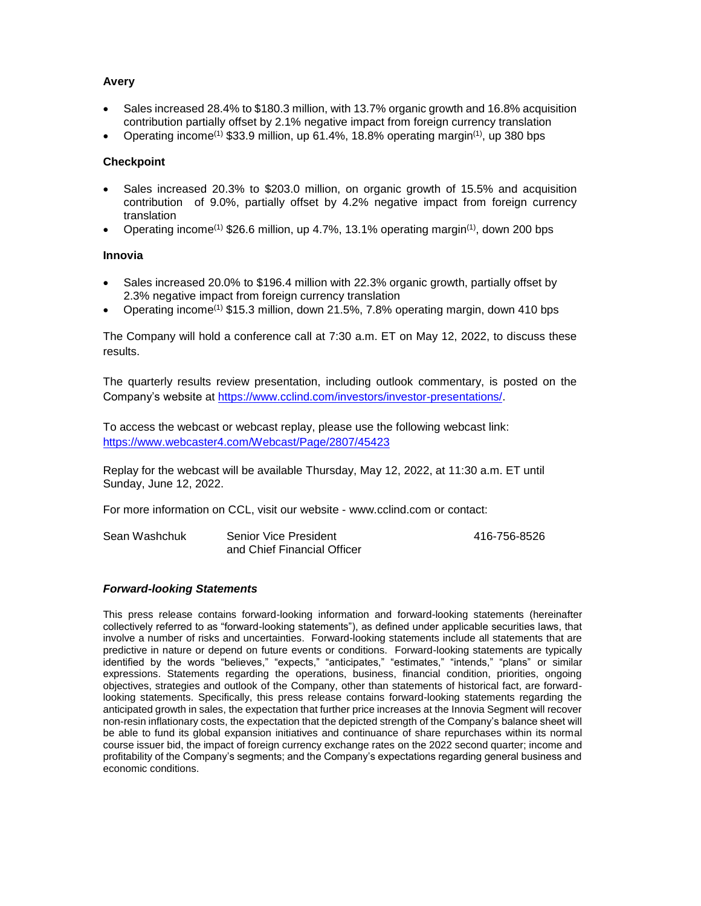### **Avery**

- Sales increased 28.4% to \$180.3 million, with 13.7% organic growth and 16.8% acquisition contribution partially offset by 2.1% negative impact from foreign currency translation
- Operating income<sup>(1)</sup> \$33.9 million, up 61.4%, 18.8% operating margin<sup>(1)</sup>, up 380 bps

### **Checkpoint**

- Sales increased 20.3% to \$203.0 million, on organic growth of 15.5% and acquisition contribution of 9.0%, partially offset by 4.2% negative impact from foreign currency translation
- Operating income<sup>(1)</sup> \$26.6 million, up 4.7%, 13.1% operating margin<sup>(1)</sup>, down 200 bps

#### **Innovia**

- Sales increased 20.0% to \$196.4 million with 22.3% organic growth, partially offset by 2.3% negative impact from foreign currency translation
- Operating income(1) \$15.3 million, down 21.5%, 7.8% operating margin, down 410 bps

The Company will hold a conference call at 7:30 a.m. ET on May 12, 2022, to discuss these results.

The quarterly results review presentation, including outlook commentary, is posted on the Company's website at [https://www.cclind.com/investors/investor-presentations/.](https://www.cclind.com/investors/investor-presentations/)

To access the webcast or webcast replay, please use the following webcast link: <https://www.webcaster4.com/Webcast/Page/2807/45423>

Replay for the webcast will be available Thursday, May 12, 2022, at 11:30 a.m. ET until Sunday, June 12, 2022.

For more information on CCL, visit our website - [www.cclind.com](http://www.cclind.com/) or contact:

| Sean Washchuk | Senior Vice President       | 416-756-8526 |
|---------------|-----------------------------|--------------|
|               | and Chief Financial Officer |              |

#### *Forward-looking Statements*

This press release contains forward-looking information and forward-looking statements (hereinafter collectively referred to as "forward-looking statements"), as defined under applicable securities laws, that involve a number of risks and uncertainties. Forward-looking statements include all statements that are predictive in nature or depend on future events or conditions. Forward-looking statements are typically identified by the words "believes," "expects," "anticipates," "estimates," "intends," "plans" or similar expressions. Statements regarding the operations, business, financial condition, priorities, ongoing objectives, strategies and outlook of the Company, other than statements of historical fact, are forwardlooking statements. Specifically, this press release contains forward-looking statements regarding the anticipated growth in sales, the expectation that further price increases at the Innovia Segment will recover non-resin inflationary costs, the expectation that the depicted strength of the Company's balance sheet will be able to fund its global expansion initiatives and continuance of share repurchases within its normal course issuer bid, the impact of foreign currency exchange rates on the 2022 second quarter; income and profitability of the Company's segments; and the Company's expectations regarding general business and economic conditions.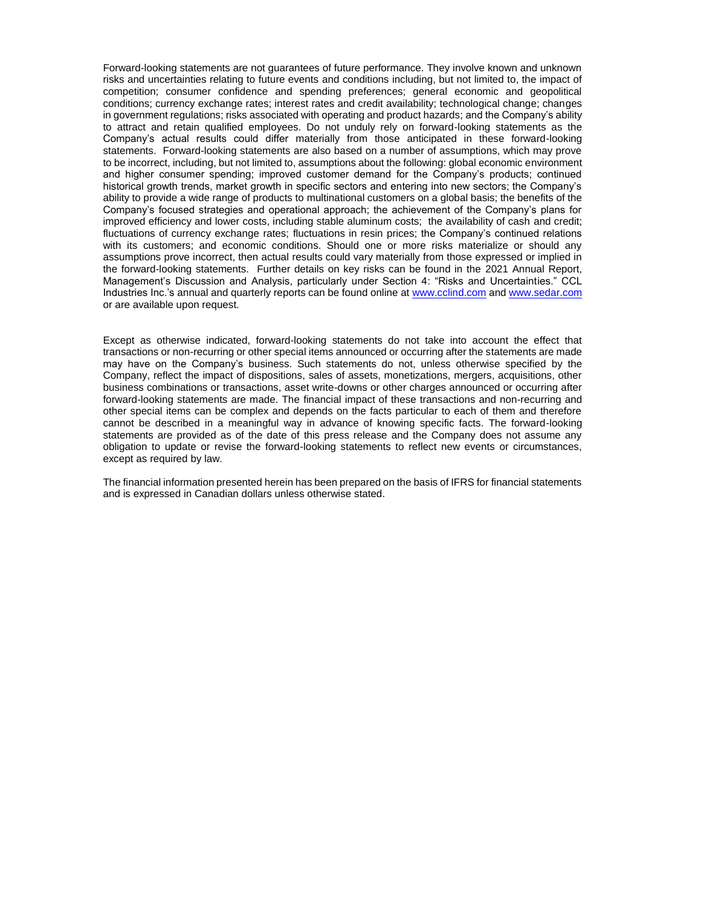Forward-looking statements are not guarantees of future performance. They involve known and unknown risks and uncertainties relating to future events and conditions including, but not limited to, the impact of competition; consumer confidence and spending preferences; general economic and geopolitical conditions; currency exchange rates; interest rates and credit availability; technological change; changes in government regulations; risks associated with operating and product hazards; and the Company's ability to attract and retain qualified employees. Do not unduly rely on forward-looking statements as the Company's actual results could differ materially from those anticipated in these forward-looking statements. Forward-looking statements are also based on a number of assumptions, which may prove to be incorrect, including, but not limited to, assumptions about the following: global economic environment and higher consumer spending; improved customer demand for the Company's products; continued historical growth trends, market growth in specific sectors and entering into new sectors; the Company's ability to provide a wide range of products to multinational customers on a global basis; the benefits of the Company's focused strategies and operational approach; the achievement of the Company's plans for improved efficiency and lower costs, including stable aluminum costs; the availability of cash and credit; fluctuations of currency exchange rates; fluctuations in resin prices; the Company's continued relations with its customers; and economic conditions. Should one or more risks materialize or should any assumptions prove incorrect, then actual results could vary materially from those expressed or implied in the forward-looking statements. Further details on key risks can be found in the 2021 Annual Report, Management's Discussion and Analysis, particularly under Section 4: "Risks and Uncertainties." CCL Industries Inc.'s annual and quarterly reports can be found online at [www.cclind.com](http://www.cclind.com/) an[d www.sedar.com](http://www.sedar.com/) or are available upon request.

Except as otherwise indicated, forward-looking statements do not take into account the effect that transactions or non-recurring or other special items announced or occurring after the statements are made may have on the Company's business. Such statements do not, unless otherwise specified by the Company, reflect the impact of dispositions, sales of assets, monetizations, mergers, acquisitions, other business combinations or transactions, asset write-downs or other charges announced or occurring after forward-looking statements are made. The financial impact of these transactions and non-recurring and other special items can be complex and depends on the facts particular to each of them and therefore cannot be described in a meaningful way in advance of knowing specific facts. The forward-looking statements are provided as of the date of this press release and the Company does not assume any obligation to update or revise the forward-looking statements to reflect new events or circumstances, except as required by law.

The financial information presented herein has been prepared on the basis of IFRS for financial statements and is expressed in Canadian dollars unless otherwise stated.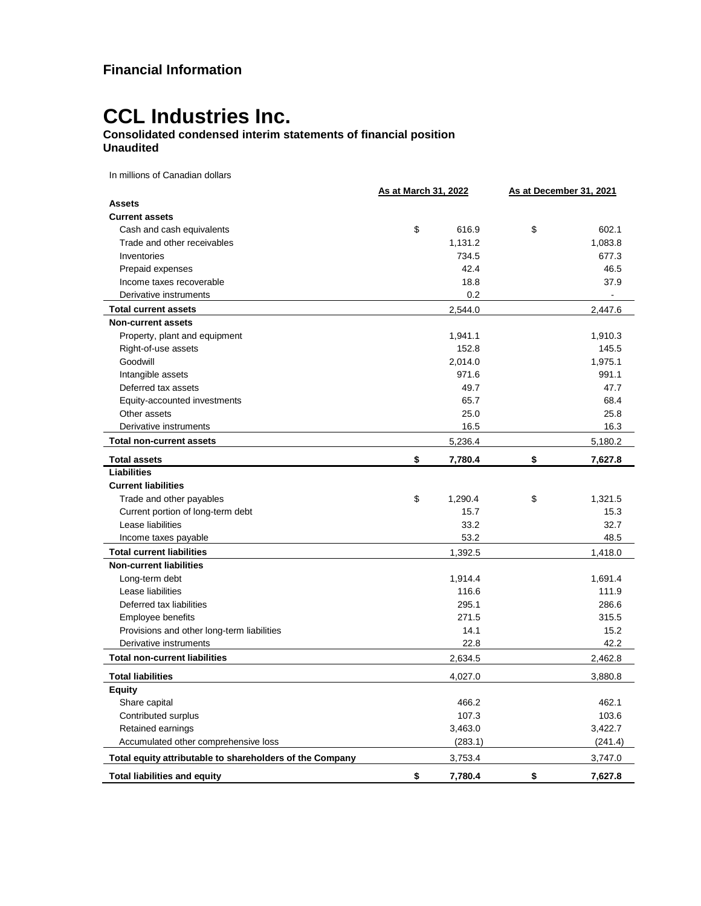## **CCL Industries Inc.**

## **Consolidated condensed interim statements of financial position Unaudited**

In millions of Canadian dollars

|                                                          | As at March 31, 2022 |         | As at December 31, 2021 |         |  |
|----------------------------------------------------------|----------------------|---------|-------------------------|---------|--|
| Assets                                                   |                      |         |                         |         |  |
| <b>Current assets</b>                                    |                      |         |                         |         |  |
| Cash and cash equivalents                                | \$                   | 616.9   | \$                      | 602.1   |  |
| Trade and other receivables                              |                      | 1,131.2 |                         | 1,083.8 |  |
| Inventories                                              |                      | 734.5   |                         | 677.3   |  |
| Prepaid expenses                                         |                      | 42.4    |                         | 46.5    |  |
| Income taxes recoverable                                 |                      | 18.8    |                         | 37.9    |  |
| Derivative instruments                                   |                      | 0.2     |                         |         |  |
| <b>Total current assets</b>                              |                      | 2,544.0 |                         | 2,447.6 |  |
| <b>Non-current assets</b>                                |                      |         |                         |         |  |
| Property, plant and equipment                            |                      | 1,941.1 |                         | 1,910.3 |  |
| Right-of-use assets                                      |                      | 152.8   |                         | 145.5   |  |
| Goodwill                                                 |                      | 2,014.0 |                         | 1,975.1 |  |
| Intangible assets                                        |                      | 971.6   |                         | 991.1   |  |
| Deferred tax assets                                      |                      | 49.7    |                         | 47.7    |  |
| Equity-accounted investments                             |                      | 65.7    |                         | 68.4    |  |
| Other assets                                             |                      | 25.0    |                         | 25.8    |  |
| Derivative instruments                                   |                      | 16.5    |                         | 16.3    |  |
| <b>Total non-current assets</b>                          |                      | 5,236.4 |                         | 5,180.2 |  |
| <b>Total assets</b>                                      | \$                   | 7,780.4 | \$                      | 7,627.8 |  |
| <b>Liabilities</b>                                       |                      |         |                         |         |  |
| <b>Current liabilities</b>                               |                      |         |                         |         |  |
| Trade and other payables                                 | \$                   | 1,290.4 | \$                      | 1,321.5 |  |
| Current portion of long-term debt                        |                      | 15.7    |                         | 15.3    |  |
| Lease liabilities                                        |                      | 33.2    |                         | 32.7    |  |
| Income taxes payable                                     |                      | 53.2    |                         | 48.5    |  |
| <b>Total current liabilities</b>                         |                      | 1,392.5 |                         | 1,418.0 |  |
| <b>Non-current liabilities</b>                           |                      |         |                         |         |  |
| Long-term debt                                           |                      | 1,914.4 |                         | 1,691.4 |  |
| Lease liabilities                                        |                      | 116.6   |                         | 111.9   |  |
| Deferred tax liabilities                                 |                      | 295.1   |                         | 286.6   |  |
| Employee benefits                                        |                      | 271.5   |                         | 315.5   |  |
| Provisions and other long-term liabilities               |                      | 14.1    |                         | 15.2    |  |
| Derivative instruments                                   |                      | 22.8    |                         | 42.2    |  |
| <b>Total non-current liabilities</b>                     |                      | 2,634.5 |                         | 2,462.8 |  |
| <b>Total liabilities</b>                                 |                      | 4,027.0 |                         | 3,880.8 |  |
| <b>Equity</b>                                            |                      |         |                         |         |  |
| Share capital                                            |                      | 466.2   |                         | 462.1   |  |
| Contributed surplus                                      |                      | 107.3   |                         | 103.6   |  |
| Retained earnings                                        |                      | 3,463.0 |                         | 3,422.7 |  |
| Accumulated other comprehensive loss                     |                      | (283.1) |                         | (241.4) |  |
| Total equity attributable to shareholders of the Company |                      | 3,753.4 |                         | 3,747.0 |  |
| <b>Total liabilities and equity</b>                      | \$                   | 7.780.4 | \$                      | 7,627.8 |  |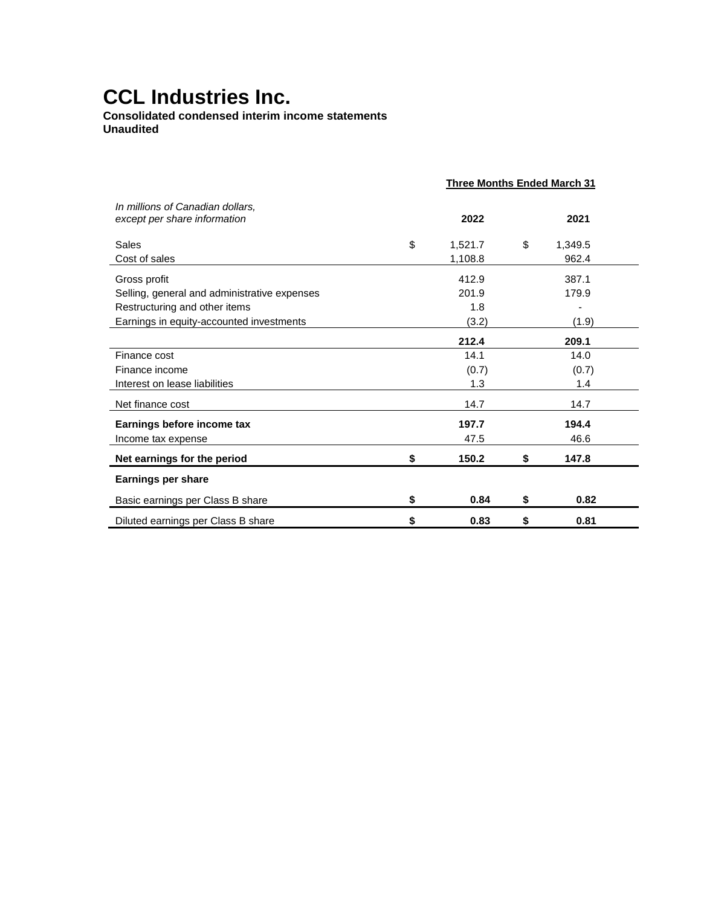## **CCL Industries Inc.**

**Consolidated condensed interim income statements Unaudited**

|                                              | <b>Three Months Ended March 31</b> |    |         |  |  |  |
|----------------------------------------------|------------------------------------|----|---------|--|--|--|
| In millions of Canadian dollars,             |                                    |    |         |  |  |  |
| except per share information                 | 2022                               |    | 2021    |  |  |  |
| Sales                                        | \$<br>1,521.7                      | \$ | 1,349.5 |  |  |  |
| Cost of sales                                | 1,108.8                            |    | 962.4   |  |  |  |
| Gross profit                                 | 412.9                              |    | 387.1   |  |  |  |
| Selling, general and administrative expenses | 201.9                              |    | 179.9   |  |  |  |
| Restructuring and other items                | 1.8                                |    | ٠       |  |  |  |
| Earnings in equity-accounted investments     | (3.2)                              |    | (1.9)   |  |  |  |
|                                              | 212.4                              |    | 209.1   |  |  |  |
| Finance cost                                 | 14.1                               |    | 14.0    |  |  |  |
| Finance income                               | (0.7)                              |    | (0.7)   |  |  |  |
| Interest on lease liabilities                | 1.3                                |    | 1.4     |  |  |  |
| Net finance cost                             | 14.7                               |    | 14.7    |  |  |  |
| Earnings before income tax                   | 197.7                              |    | 194.4   |  |  |  |
| Income tax expense                           | 47.5                               |    | 46.6    |  |  |  |
| Net earnings for the period                  | \$<br>150.2                        | \$ | 147.8   |  |  |  |
| <b>Earnings per share</b>                    |                                    |    |         |  |  |  |
| Basic earnings per Class B share             | \$<br>0.84                         | \$ | 0.82    |  |  |  |
| Diluted earnings per Class B share           | \$<br>0.83                         | \$ | 0.81    |  |  |  |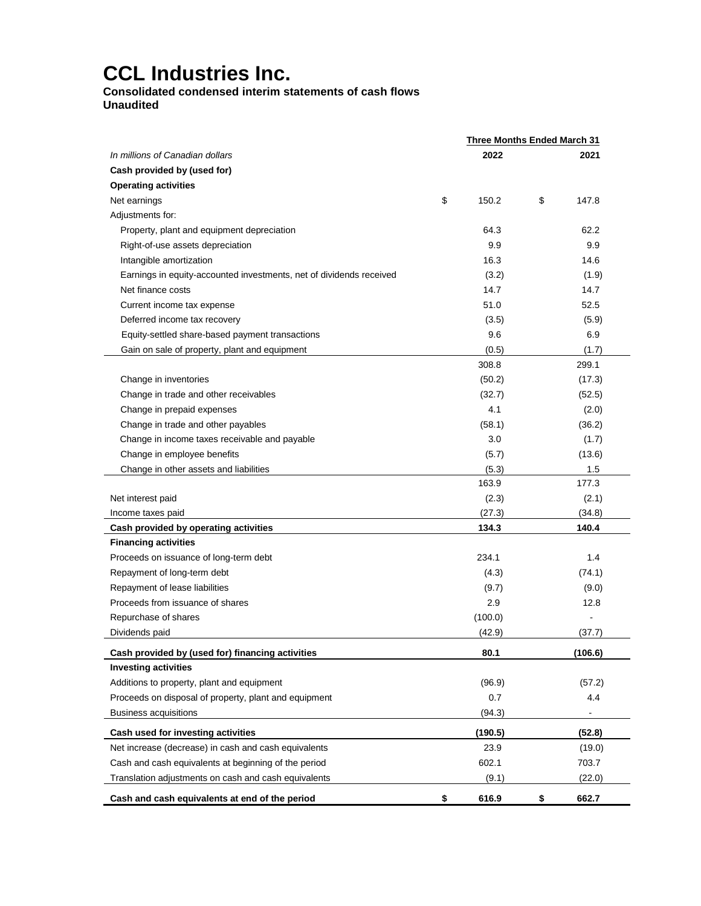## **CCL Industries Inc.**

## **Consolidated condensed interim statements of cash flows Unaudited**

|                                                                     | <b>Three Months Ended March 31</b> |             |
|---------------------------------------------------------------------|------------------------------------|-------------|
| In millions of Canadian dollars                                     | 2022                               | 2021        |
| Cash provided by (used for)                                         |                                    |             |
| <b>Operating activities</b>                                         |                                    |             |
| Net earnings                                                        | \$<br>150.2                        | \$<br>147.8 |
| Adjustments for:                                                    |                                    |             |
| Property, plant and equipment depreciation                          | 64.3                               | 62.2        |
| Right-of-use assets depreciation                                    | 9.9                                | 9.9         |
| Intangible amortization                                             | 16.3                               | 14.6        |
| Earnings in equity-accounted investments, net of dividends received | (3.2)                              | (1.9)       |
| Net finance costs                                                   | 14.7                               | 14.7        |
| Current income tax expense                                          | 51.0                               | 52.5        |
| Deferred income tax recovery                                        | (3.5)                              | (5.9)       |
| Equity-settled share-based payment transactions                     | 9.6                                | 6.9         |
| Gain on sale of property, plant and equipment                       | (0.5)                              | (1.7)       |
|                                                                     | 308.8                              | 299.1       |
| Change in inventories                                               | (50.2)                             | (17.3)      |
| Change in trade and other receivables                               | (32.7)                             | (52.5)      |
| Change in prepaid expenses                                          | 4.1                                | (2.0)       |
| Change in trade and other payables                                  | (58.1)                             | (36.2)      |
| Change in income taxes receivable and payable                       | 3.0                                | (1.7)       |
| Change in employee benefits                                         | (5.7)                              | (13.6)      |
| Change in other assets and liabilities                              | (5.3)                              | 1.5         |
|                                                                     | 163.9                              | 177.3       |
| Net interest paid                                                   | (2.3)                              | (2.1)       |
| Income taxes paid                                                   | (27.3)                             | (34.8)      |
| Cash provided by operating activities                               | 134.3                              | 140.4       |
| <b>Financing activities</b>                                         |                                    |             |
| Proceeds on issuance of long-term debt                              | 234.1                              | 1.4         |
| Repayment of long-term debt                                         | (4.3)                              | (74.1)      |
| Repayment of lease liabilities                                      | (9.7)                              | (9.0)       |
| Proceeds from issuance of shares                                    | 2.9                                | 12.8        |
| Repurchase of shares                                                | (100.0)                            |             |
| Dividends paid                                                      | (42.9)                             | (37.7)      |
| Cash provided by (used for) financing activities                    | 80.1                               | (106.6)     |
| <b>Investing activities</b>                                         |                                    |             |
| Additions to property, plant and equipment                          | (96.9)                             | (57.2)      |
| Proceeds on disposal of property, plant and equipment               | 0.7                                | 4.4         |
| <b>Business acquisitions</b>                                        | (94.3)                             |             |
| Cash used for investing activities                                  | (190.5)                            | (52.8)      |
| Net increase (decrease) in cash and cash equivalents                | 23.9                               | (19.0)      |
| Cash and cash equivalents at beginning of the period                | 602.1                              | 703.7       |
| Translation adjustments on cash and cash equivalents                | (9.1)                              | (22.0)      |
|                                                                     |                                    |             |
| Cash and cash equivalents at end of the period                      | \$<br>616.9                        | \$<br>662.7 |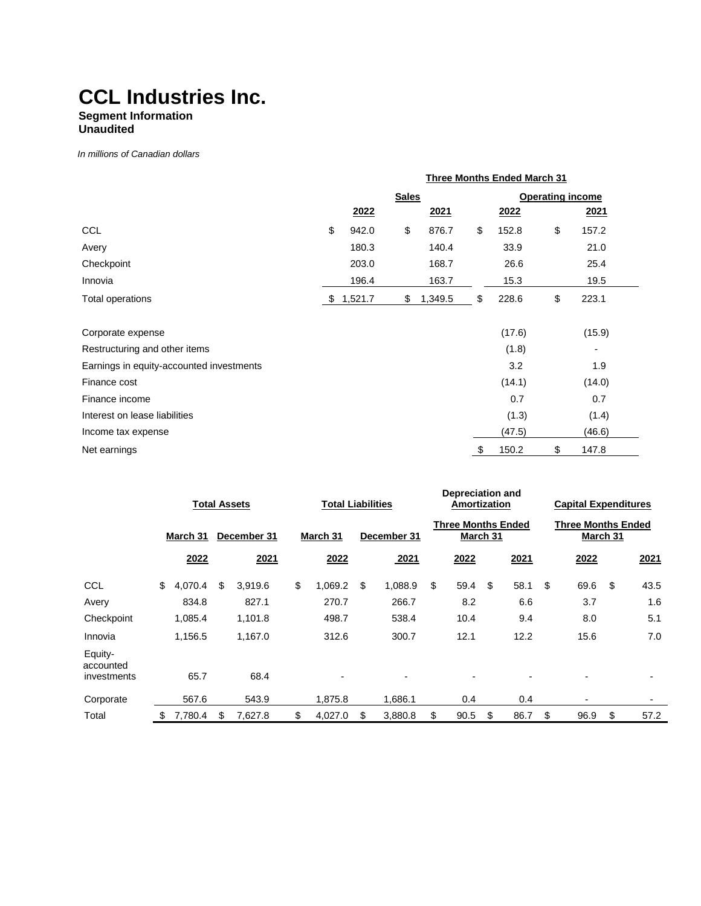## **CCL Industries Inc. Segment Information Unaudited**

*In millions of Canadian dollars* 

|                                          | Three Months Ended March 31 |         |    |             |    |                         |    |                          |
|------------------------------------------|-----------------------------|---------|----|-------------|----|-------------------------|----|--------------------------|
|                                          | <b>Sales</b>                |         |    |             |    | <b>Operating income</b> |    |                          |
|                                          |                             | 2022    |    | <u>2021</u> |    | 2022                    |    | 2021                     |
| <b>CCL</b>                               | \$                          | 942.0   | \$ | 876.7       | \$ | 152.8                   | \$ | 157.2                    |
| Avery                                    |                             | 180.3   |    | 140.4       |    | 33.9                    |    | 21.0                     |
| Checkpoint                               |                             | 203.0   |    | 168.7       |    | 26.6                    |    | 25.4                     |
| Innovia                                  |                             | 196.4   |    | 163.7       |    | 15.3                    |    | 19.5                     |
| Total operations                         | \$                          | 1,521.7 | \$ | 1,349.5     | \$ | 228.6                   | \$ | 223.1                    |
| Corporate expense                        |                             |         |    |             |    | (17.6)                  |    | (15.9)                   |
| Restructuring and other items            |                             |         |    |             |    | (1.8)                   |    | $\overline{\phantom{a}}$ |
| Earnings in equity-accounted investments |                             |         |    |             |    | 3.2                     |    | 1.9                      |
| Finance cost                             |                             |         |    |             |    | (14.1)                  |    | (14.0)                   |
| Finance income                           |                             |         |    |             |    | 0.7                     |    | 0.7                      |
| Interest on lease liabilities            |                             |         |    |             |    | (1.3)                   |    | (1.4)                    |
| Income tax expense                       |                             |         |    |             |    | (47.5)                  |    | (46.6)                   |
| Net earnings                             |                             |         |    |             | \$ | 150.2                   | \$ | 147.8                    |

|                                     |               | <b>Total Assets</b> |             | Depreciation and<br><b>Total Liabilities</b><br>Amortization |          |    |             | <b>Capital Expenditures</b>           |      |    |                                       |    |                |    |      |
|-------------------------------------|---------------|---------------------|-------------|--------------------------------------------------------------|----------|----|-------------|---------------------------------------|------|----|---------------------------------------|----|----------------|----|------|
|                                     | March 31      |                     | December 31 |                                                              | March 31 |    | December 31 | <b>Three Months Ended</b><br>March 31 |      |    | <b>Three Months Ended</b><br>March 31 |    |                |    |      |
|                                     | 2022          |                     | 2021        |                                                              | 2022     |    | 2021        |                                       | 2022 |    | 2021                                  |    | 2022           |    | 2021 |
| CCL                                 | \$<br>4,070.4 | \$                  | 3,919.6     | \$                                                           | 1,069.2  | \$ | 1,088.9     | \$                                    | 59.4 | \$ | 58.1                                  | \$ | 69.6           | \$ | 43.5 |
| Avery                               | 834.8         |                     | 827.1       |                                                              | 270.7    |    | 266.7       |                                       | 8.2  |    | 6.6                                   |    | 3.7            |    | 1.6  |
| Checkpoint                          | 1,085.4       |                     | 1,101.8     |                                                              | 498.7    |    | 538.4       |                                       | 10.4 |    | 9.4                                   |    | 8.0            |    | 5.1  |
| Innovia                             | 1,156.5       |                     | 1,167.0     |                                                              | 312.6    |    | 300.7       |                                       | 12.1 |    | 12.2                                  |    | 15.6           |    | 7.0  |
| Equity-<br>accounted<br>investments | 65.7          |                     | 68.4        |                                                              |          |    |             |                                       |      |    |                                       |    |                |    | ٠    |
| Corporate                           | 567.6         |                     | 543.9       |                                                              | 1,875.8  |    | 1,686.1     |                                       | 0.4  |    | 0.4                                   |    | $\blacksquare$ |    | ٠    |
| Total                               | \$<br>7.780.4 | \$                  | 7,627.8     | \$                                                           | 4,027.0  | S  | 3,880.8     | \$                                    | 90.5 | \$ | 86.7                                  | S  | 96.9           | \$ | 57.2 |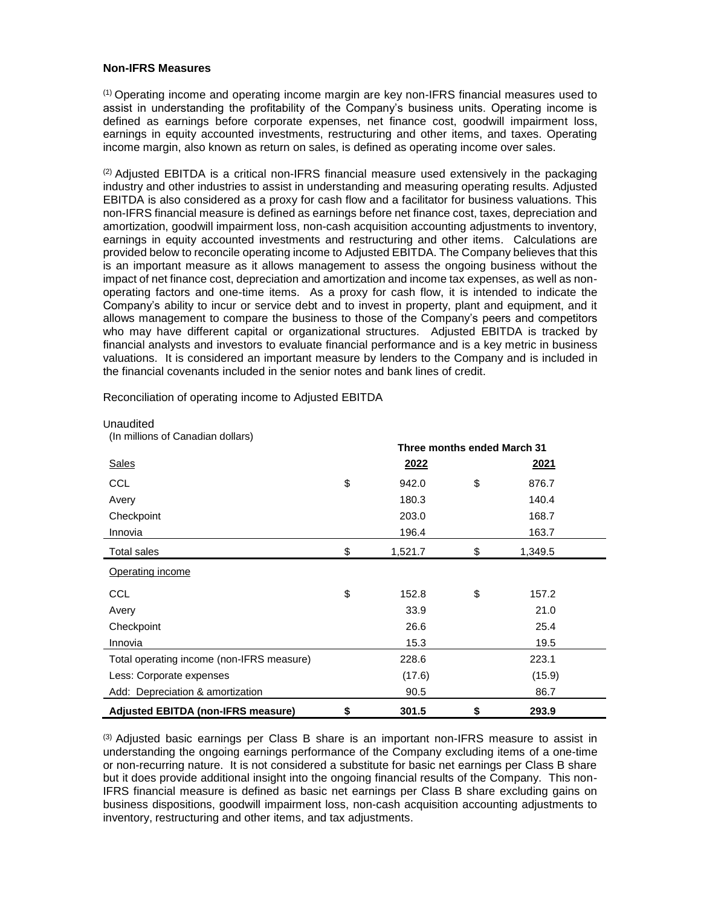#### **Non-IFRS Measures**

Unaudited

(1) Operating income and operating income margin are key non-IFRS financial measures used to assist in understanding the profitability of the Company's business units. Operating income is defined as earnings before corporate expenses, net finance cost, goodwill impairment loss, earnings in equity accounted investments, restructuring and other items, and taxes. Operating income margin, also known as return on sales, is defined as operating income over sales.

 $<sup>(2)</sup>$  Adjusted EBITDA is a critical non-IFRS financial measure used extensively in the packaging</sup> industry and other industries to assist in understanding and measuring operating results. Adjusted EBITDA is also considered as a proxy for cash flow and a facilitator for business valuations. This non-IFRS financial measure is defined as earnings before net finance cost, taxes, depreciation and amortization, goodwill impairment loss, non-cash acquisition accounting adjustments to inventory, earnings in equity accounted investments and restructuring and other items. Calculations are provided below to reconcile operating income to Adjusted EBITDA. The Company believes that this is an important measure as it allows management to assess the ongoing business without the impact of net finance cost, depreciation and amortization and income tax expenses, as well as nonoperating factors and one-time items. As a proxy for cash flow, it is intended to indicate the Company's ability to incur or service debt and to invest in property, plant and equipment, and it allows management to compare the business to those of the Company's peers and competitors who may have different capital or organizational structures. Adjusted EBITDA is tracked by financial analysts and investors to evaluate financial performance and is a key metric in business valuations. It is considered an important measure by lenders to the Company and is included in the financial covenants included in the senior notes and bank lines of credit.

| vulauultu<br>(In millions of Canadian dollars) |                             |               |  |
|------------------------------------------------|-----------------------------|---------------|--|
|                                                | Three months ended March 31 |               |  |
| <b>Sales</b>                                   | 2022                        | <u> 2021 </u> |  |
| CCL                                            | \$<br>942.0                 | \$<br>876.7   |  |
| Avery                                          | 180.3                       | 140.4         |  |
| Checkpoint                                     | 203.0                       | 168.7         |  |
| Innovia                                        | 196.4                       | 163.7         |  |
| Total sales                                    | \$<br>1,521.7               | \$<br>1,349.5 |  |
| Operating income                               |                             |               |  |
| <b>CCL</b>                                     | \$<br>152.8                 | \$<br>157.2   |  |
| Avery                                          | 33.9                        | 21.0          |  |
| Checkpoint                                     | 26.6                        | 25.4          |  |
| Innovia                                        | 15.3                        | 19.5          |  |
| Total operating income (non-IFRS measure)      | 228.6                       | 223.1         |  |
| Less: Corporate expenses                       | (17.6)                      | (15.9)        |  |
| Add: Depreciation & amortization               | 90.5                        | 86.7          |  |
| <b>Adjusted EBITDA (non-IFRS measure)</b>      | \$<br>301.5                 | \$<br>293.9   |  |

Reconciliation of operating income to Adjusted EBITDA

 $<sup>(3)</sup>$  Adjusted basic earnings per Class B share is an important non-IFRS measure to assist in</sup> understanding the ongoing earnings performance of the Company excluding items of a one-time or non-recurring nature. It is not considered a substitute for basic net earnings per Class B share but it does provide additional insight into the ongoing financial results of the Company. This non-IFRS financial measure is defined as basic net earnings per Class B share excluding gains on business dispositions, goodwill impairment loss, non-cash acquisition accounting adjustments to inventory, restructuring and other items, and tax adjustments.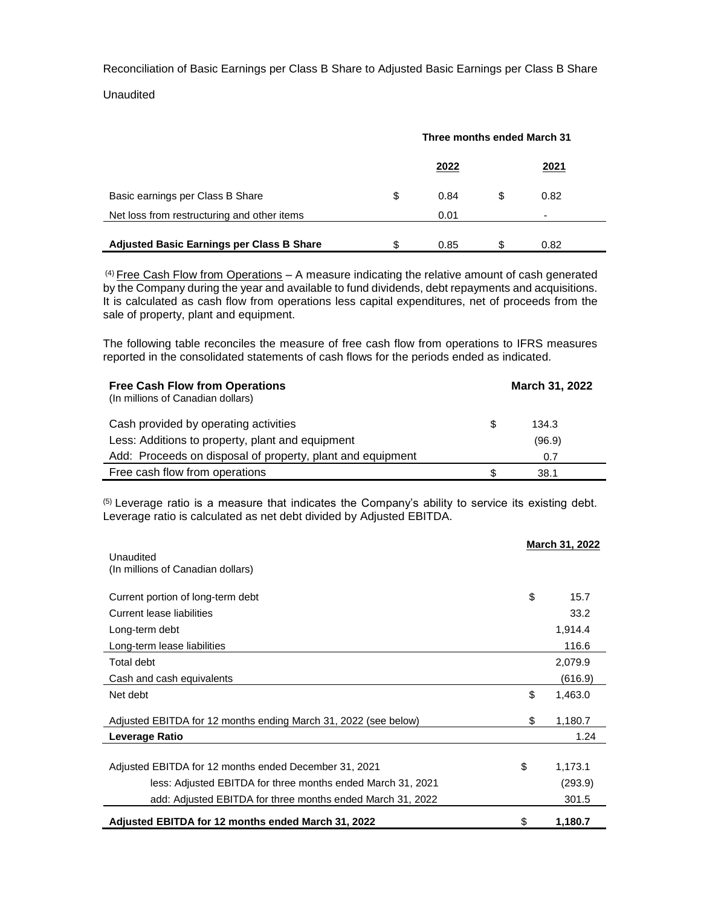Reconciliation of Basic Earnings per Class B Share to Adjusted Basic Earnings per Class B Share

#### **Unaudited**

|                                                  | Three months ended March 31 |    |      |  |  |
|--------------------------------------------------|-----------------------------|----|------|--|--|
|                                                  | 2022                        |    | 2021 |  |  |
| Basic earnings per Class B Share                 | \$<br>0.84                  | \$ | 0.82 |  |  |
| Net loss from restructuring and other items      | 0.01                        |    | -    |  |  |
| <b>Adjusted Basic Earnings per Class B Share</b> | \$<br>0.85                  | S  | 0.82 |  |  |

 $(4)$  Free Cash Flow from Operations - A measure indicating the relative amount of cash generated by the Company during the year and available to fund dividends, debt repayments and acquisitions. It is calculated as cash flow from operations less capital expenditures, net of proceeds from the sale of property, plant and equipment.

The following table reconciles the measure of free cash flow from operations to IFRS measures reported in the consolidated statements of cash flows for the periods ended as indicated.

| <b>Free Cash Flow from Operations</b><br>(In millions of Canadian dollars) |    | March 31, 2022 |
|----------------------------------------------------------------------------|----|----------------|
| Cash provided by operating activities                                      | \$ | 134.3          |
| Less: Additions to property, plant and equipment                           |    | (96.9)         |
| Add: Proceeds on disposal of property, plant and equipment                 |    | 0.7            |
| Free cash flow from operations                                             | S  | 38.1           |

(5) Leverage ratio is a measure that indicates the Company's ability to service its existing debt. Leverage ratio is calculated as net debt divided by Adjusted EBITDA.

|                                                                 | <b>March 31, 2022</b> |
|-----------------------------------------------------------------|-----------------------|
| Unaudited<br>(In millions of Canadian dollars)                  |                       |
|                                                                 |                       |
| Current portion of long-term debt                               | \$<br>15.7            |
| Current lease liabilities                                       | 33.2                  |
| Long-term debt                                                  | 1.914.4               |
| Long-term lease liabilities                                     | 116.6                 |
| Total debt                                                      | 2,079.9               |
| Cash and cash equivalents                                       | (616.9)               |
| Net debt                                                        | \$<br>1,463.0         |
| Adjusted EBITDA for 12 months ending March 31, 2022 (see below) | \$<br>1,180.7         |
| <b>Leverage Ratio</b>                                           | 1.24                  |
|                                                                 |                       |
| Adjusted EBITDA for 12 months ended December 31, 2021           | \$<br>1,173.1         |
| less: Adjusted EBITDA for three months ended March 31, 2021     | (293.9)               |
| add: Adjusted EBITDA for three months ended March 31, 2022      | 301.5                 |
| Adjusted EBITDA for 12 months ended March 31, 2022              | \$<br>1,180.7         |